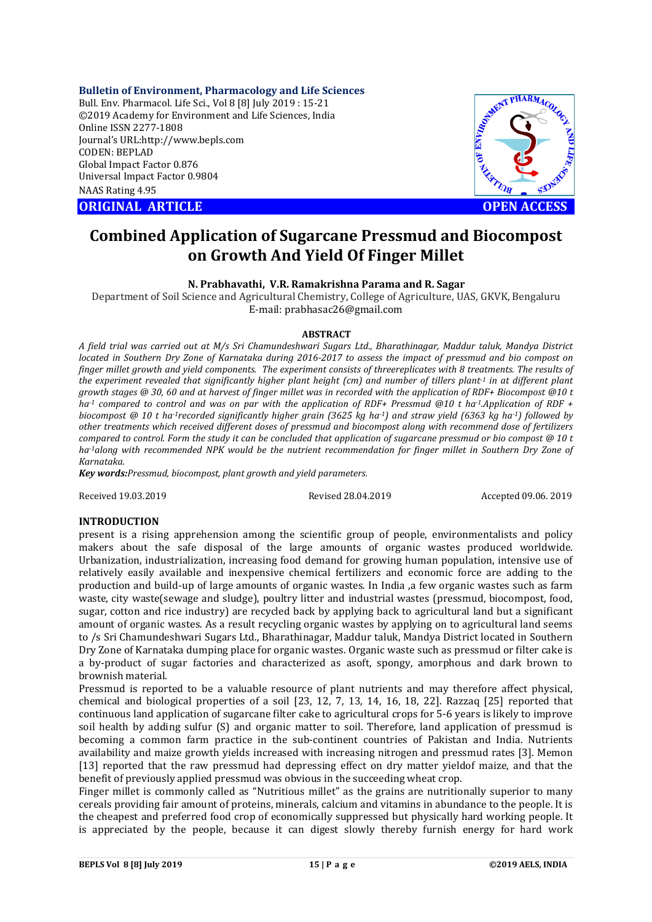### **Bulletin of Environment, Pharmacology and Life Sciences**

Bull. Env. Pharmacol. Life Sci., Vol 8 [8] July 2019 : 15-21 ©2019 Academy for Environment and Life Sciences, India Online ISSN 2277-1808 Journal's URL:http://www.bepls.com CODEN: BEPLAD Global Impact Factor 0.876 Universal Impact Factor 0.9804 NAAS Rating 4.95

**ORIGINAL ARTICLE OPEN ACCESS** 



# **Combined Application of Sugarcane Pressmud and Biocompost on Growth And Yield Of Finger Millet**

### **N. Prabhavathi, V.R. Ramakrishna Parama and R. Sagar**

Department of Soil Science and Agricultural Chemistry, College of Agriculture, UAS, GKVK, Bengaluru E-mail: prabhasac26@gmail.com

### **ABSTRACT**

*A field trial was carried out at M/s Sri Chamundeshwari Sugars Ltd., Bharathinagar, Maddur taluk, Mandya District located in Southern Dry Zone of Karnataka during 2016-2017 to assess the impact of pressmud and bio compost on finger millet growth and yield components. The experiment consists of threereplicates with 8 treatments. The results of the experiment revealed that significantly higher plant height (cm) and number of tillers plant-1 in at different plant growth stages @ 30, 60 and at harvest of finger millet was in recorded with the application of RDF+ Biocompost @10 t ha-1 compared to control and was on par with the application of RDF+ Pressmud @10 t ha-1.Application of RDF + biocompost @ 10 t ha-1recorded significantly higher grain (3625 kg ha-1) and straw yield (6363 kg ha-1) followed by other treatments which received different doses of pressmud and biocompost along with recommend dose of fertilizers compared to control. Form the study it can be concluded that application of sugarcane pressmud or bio compost @ 10 t ha-1along with recommended NPK would be the nutrient recommendation for finger millet in Southern Dry Zone of Karnataka.*

*Key words:Pressmud, biocompost, plant growth and yield parameters.*

Received 19.03.2019 Revised 28.04.2019 Accepted 09.06. 2019

### **INTRODUCTION**

present is a rising apprehension among the scientific group of people, environmentalists and policy makers about the safe disposal of the large amounts of organic wastes produced worldwide. Urbanization, industrialization, increasing food demand for growing human population, intensive use of relatively easily available and inexpensive chemical fertilizers and economic force are adding to the production and build-up of large amounts of organic wastes. In India ,a few organic wastes such as farm waste, city waste(sewage and sludge), poultry litter and industrial wastes (pressmud, biocompost, food, sugar, cotton and rice industry) are recycled back by applying back to agricultural land but a significant amount of organic wastes. As a result recycling organic wastes by applying on to agricultural land seems to /s Sri Chamundeshwari Sugars Ltd., Bharathinagar, Maddur taluk, Mandya District located in Southern Dry Zone of Karnataka dumping place for organic wastes. Organic waste such as pressmud or filter cake is a by-product of sugar factories and characterized as asoft, spongy, amorphous and dark brown to brownish material.

Pressmud is reported to be a valuable resource of plant nutrients and may therefore affect physical, chemical and biological properties of a soil [23, 12, 7, 13, 14, 16, 18, 22]. Razzaq [25] reported that continuous land application of sugarcane filter cake to agricultural crops for 5-6 years is likely to improve soil health by adding sulfur (S) and organic matter to soil. Therefore, land application of pressmud is becoming a common farm practice in the sub-continent countries of Pakistan and India. Nutrients availability and maize growth yields increased with increasing nitrogen and pressmud rates [3]. Memon [13] reported that the raw pressmud had depressing effect on dry matter yieldof maize, and that the benefit of previously applied pressmud was obvious in the succeeding wheat crop.

Finger millet is commonly called as "Nutritious millet" as the grains are nutritionally superior to many cereals providing fair amount of proteins, minerals, calcium and vitamins in abundance to the people. It is the cheapest and preferred food crop of economically suppressed but physically hard working people. It is appreciated by the people, because it can digest slowly thereby furnish energy for hard work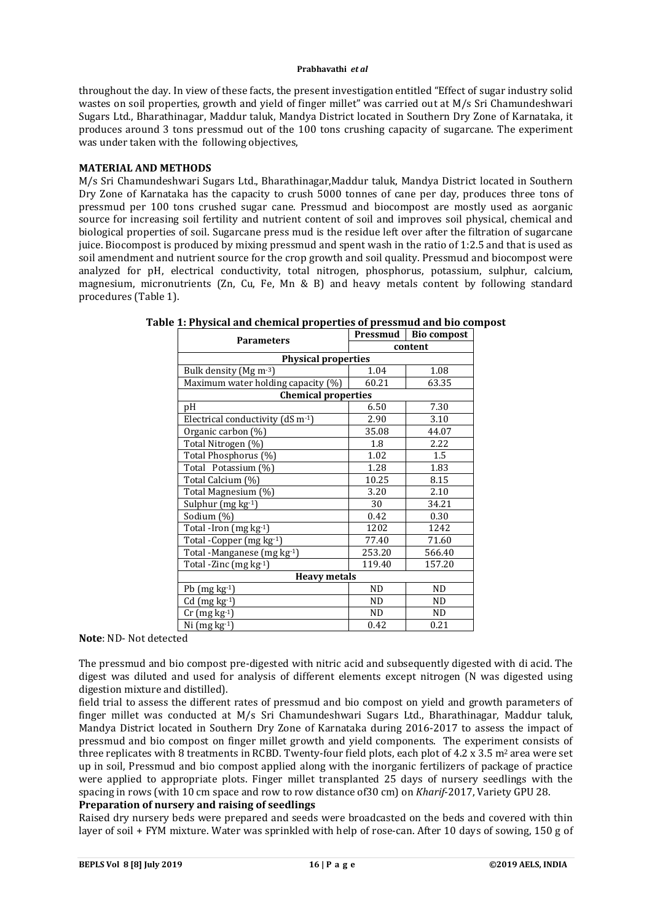throughout the day. In view of these facts, the present investigation entitled "Effect of sugar industry solid wastes on soil properties, growth and yield of finger millet" was carried out at M/s Sri Chamundeshwari Sugars Ltd., Bharathinagar, Maddur taluk, Mandya District located in Southern Dry Zone of Karnataka, it produces around 3 tons pressmud out of the 100 tons crushing capacity of sugarcane. The experiment was under taken with the following objectives,

### **MATERIAL AND METHODS**

M/s Sri Chamundeshwari Sugars Ltd., Bharathinagar,Maddur taluk, Mandya District located in Southern Dry Zone of Karnataka has the capacity to crush 5000 tonnes of cane per day, produces three tons of pressmud per 100 tons crushed sugar cane. Pressmud and biocompost are mostly used as aorganic source for increasing soil fertility and nutrient content of soil and improves soil physical, chemical and biological properties of soil. Sugarcane press mud is the residue left over after the filtration of sugarcane juice. Biocompost is produced by mixing pressmud and spent wash in the ratio of 1:2.5 and that is used as soil amendment and nutrient source for the crop growth and soil quality. Pressmud and biocompost were analyzed for pH, electrical conductivity, total nitrogen, phosphorus, potassium, sulphur, calcium, magnesium, micronutrients (Zn, Cu, Fe, Mn & B) and heavy metals content by following standard procedures (Table 1).

| <b>Parameters</b>                                | Pressmud | <b>Bio compost</b> |  |  |  |
|--------------------------------------------------|----------|--------------------|--|--|--|
|                                                  | content  |                    |  |  |  |
| <b>Physical properties</b>                       |          |                    |  |  |  |
| Bulk density (Mg m-3)                            | 1.04     | 1.08               |  |  |  |
| Maximum water holding capacity (%)               | 60.21    | 63.35              |  |  |  |
| <b>Chemical properties</b>                       |          |                    |  |  |  |
| pH                                               | 6.50     | 7.30               |  |  |  |
| Electrical conductivity ( $dS$ m <sup>-1</sup> ) | 2.90     | 3.10               |  |  |  |
| Organic carbon (%)                               | 35.08    | 44.07              |  |  |  |
| Total Nitrogen (%)                               | 1.8      | 2.22               |  |  |  |
| Total Phosphorus (%)                             | 1.02     | 1.5                |  |  |  |
| Total Potassium (%)                              | 1.28     | 1.83               |  |  |  |
| Total Calcium (%)                                | 10.25    | 8.15               |  |  |  |
| Total Magnesium (%)                              | 3.20     | 2.10               |  |  |  |
| Sulphur (mg kg-1)                                | 30       | 34.21              |  |  |  |
| Sodium (%)                                       | 0.42     | 0.30               |  |  |  |
| Total -Iron $(mg kg-1)$                          | 1202     | 1242               |  |  |  |
| Total - Copper (mg kg-1)                         | 77.40    | 71.60              |  |  |  |
| Total -Manganese (mg kg-1)                       | 253.20   | 566.40             |  |  |  |
| Total -Zinc (mg kg-1)                            | 119.40   | 157.20             |  |  |  |
| <b>Heavy metals</b>                              |          |                    |  |  |  |
| Pb $(mg kg-1)$                                   | ND.      | ND.                |  |  |  |
| $Cd$ (mg $kg-1$ )                                | ND       | ND.                |  |  |  |
| $Cr$ (mg $kg-1$ )                                | ND.      | ND.                |  |  |  |
| Ni $(mg kg-1)$                                   | 0.42     | 0.21               |  |  |  |

# **Table 1: Physical and chemical properties of pressmud and bio compost**

**Note**: ND- Not detected

The pressmud and bio compost pre-digested with nitric acid and subsequently digested with di acid. The digest was diluted and used for analysis of different elements except nitrogen (N was digested using digestion mixture and distilled).

field trial to assess the different rates of pressmud and bio compost on yield and growth parameters of finger millet was conducted at M/s Sri Chamundeshwari Sugars Ltd., Bharathinagar, Maddur taluk, Mandya District located in Southern Dry Zone of Karnataka during 2016-2017 to assess the impact of pressmud and bio compost on finger millet growth and yield components. The experiment consists of three replicates with 8 treatments in RCBD. Twenty-four field plots, each plot of  $4.2 \times 3.5$  m<sup>2</sup> area were set up in soil, Pressmud and bio compost applied along with the inorganic fertilizers of package of practice were applied to appropriate plots. Finger millet transplanted 25 days of nursery seedlings with the spacing in rows (with 10 cm space and row to row distance of30 cm) on *Kharif*-2017, Variety GPU 28.

### **Preparation of nursery and raising of seedlings**

Raised dry nursery beds were prepared and seeds were broadcasted on the beds and covered with thin layer of soil + FYM mixture. Water was sprinkled with help of rose-can. After 10 days of sowing, 150 g of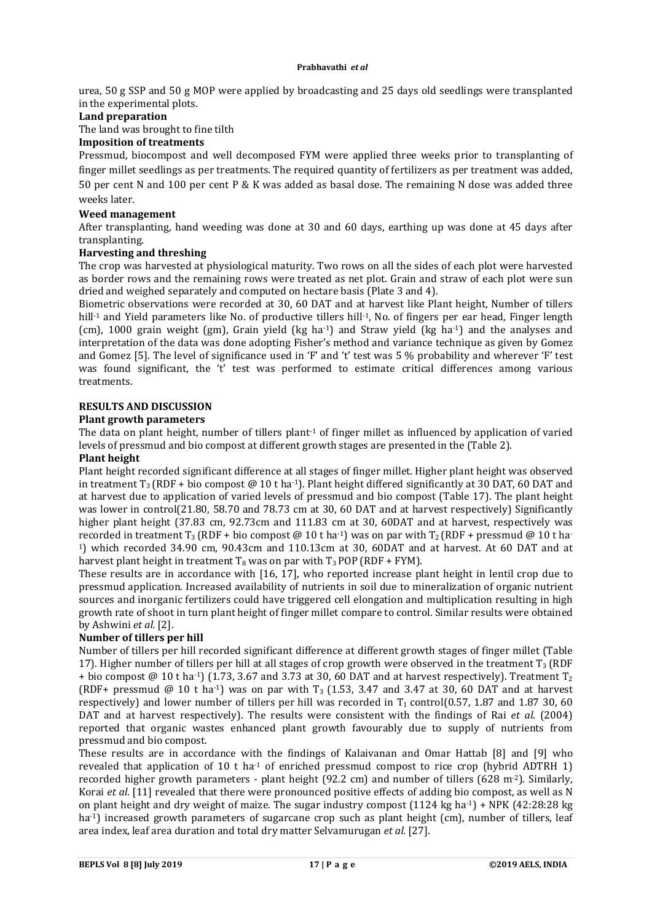urea, 50 g SSP and 50 g MOP were applied by broadcasting and 25 days old seedlings were transplanted in the experimental plots.

### **Land preparation**

The land was brought to fine tilth

# **Imposition of treatments**

Pressmud, biocompost and well decomposed FYM were applied three weeks prior to transplanting of finger millet seedlings as per treatments. The required quantity of fertilizers as per treatment was added, 50 per cent N and 100 per cent P & K was added as basal dose. The remaining N dose was added three weeks later.

### **Weed management**

After transplanting, hand weeding was done at 30 and 60 days, earthing up was done at 45 days after transplanting.

### **Harvesting and threshing**

The crop was harvested at physiological maturity. Two rows on all the sides of each plot were harvested as border rows and the remaining rows were treated as net plot. Grain and straw of each plot were sun dried and weighed separately and computed on hectare basis (Plate 3 and 4).

Biometric observations were recorded at 30, 60 DAT and at harvest like Plant height, Number of tillers hill<sup>-1</sup> and Yield parameters like No. of productive tillers hill<sup>-1</sup>, No. of fingers per ear head, Finger length (cm), 1000 grain weight (gm), Grain yield (kg ha-1) and Straw yield (kg ha-1) and the analyses and interpretation of the data was done adopting Fisher's method and variance technique as given by Gomez and Gomez [5]. The level of significance used in 'F' and 't' test was 5 % probability and wherever 'F' test was found significant, the 't' test was performed to estimate critical differences among various treatments.

### **RESULTS AND DISCUSSION**

### **Plant growth parameters**

The data on plant height, number of tillers plant<sup>1</sup> of finger millet as influenced by application of varied levels of pressmud and bio compost at different growth stages are presented in the (Table 2).

### **Plant height**

Plant height recorded significant difference at all stages of finger millet. Higher plant height was observed in treatment  $T_3$  (RDF + bio compost @ 10 t ha<sup>-1</sup>). Plant height differed significantly at 30 DAT, 60 DAT and at harvest due to application of varied levels of pressmud and bio compost (Table 17). The plant height was lower in control(21.80, 58.70 and 78.73 cm at 30, 60 DAT and at harvest respectively) Significantly higher plant height (37.83 cm, 92.73cm and 111.83 cm at 30, 60DAT and at harvest, respectively was recorded in treatment T<sub>3</sub> (RDF + bio compost  $\omega$  10 t ha<sup>-1</sup>) was on par with T<sub>2</sub> (RDF + pressmud  $\omega$  10 t ha-1) which recorded 34.90 cm, 90.43cm and 110.13cm at 30, 60DAT and at harvest. At 60 DAT and at harvest plant height in treatment  $T_8$  was on par with  $T_3$  POP (RDF + FYM).

These results are in accordance with [16, 17], who reported increase plant height in lentil crop due to pressmud application. Increased availability of nutrients in soil due to mineralization of organic nutrient sources and inorganic fertilizers could have triggered cell elongation and multiplication resulting in high growth rate of shoot in turn plant height of finger millet compare to control. Similar results were obtained by Ashwini *et al.* [2].

# **Number of tillers per hill**

Number of tillers per hill recorded significant difference at different growth stages of finger millet (Table 17). Higher number of tillers per hill at all stages of crop growth were observed in the treatment  $T_3$  (RDF + bio compost @ 10 t ha<sup>-1</sup>) (1.73, 3.67 and 3.73 at 30, 60 DAT and at harvest respectively). Treatment T<sub>2</sub> (RDF+ pressmud @ 10 t ha<sup>-1</sup>) was on par with  $T_3$  (1.53, 3.47 and 3.47 at 30, 60 DAT and at harvest respectively) and lower number of tillers per hill was recorded in  $T_1$  control(0.57, 1.87 and 1.87 30, 60 DAT and at harvest respectively). The results were consistent with the findings of Rai *et al.* (2004) reported that organic wastes enhanced plant growth favourably due to supply of nutrients from pressmud and bio compost.

These results are in accordance with the findings of Kalaivanan and Omar Hattab [8] and [9] who revealed that application of 10 t ha<sup>-1</sup> of enriched pressmud compost to rice crop (hybrid ADTRH 1) recorded higher growth parameters - plant height (92.2 cm) and number of tillers (628 m<sup>-2</sup>). Similarly, Korai *et al*. [11] revealed that there were pronounced positive effects of adding bio compost, as well as N on plant height and dry weight of maize. The sugar industry compost  $(1124 \text{ kg ha-1}) + \text{NPK } (42.28.28 \text{ kg})$ ha<sup>-1</sup>) increased growth parameters of sugarcane crop such as plant height (cm), number of tillers, leaf area index, leaf area duration and total dry matter Selvamurugan *et al.* [27].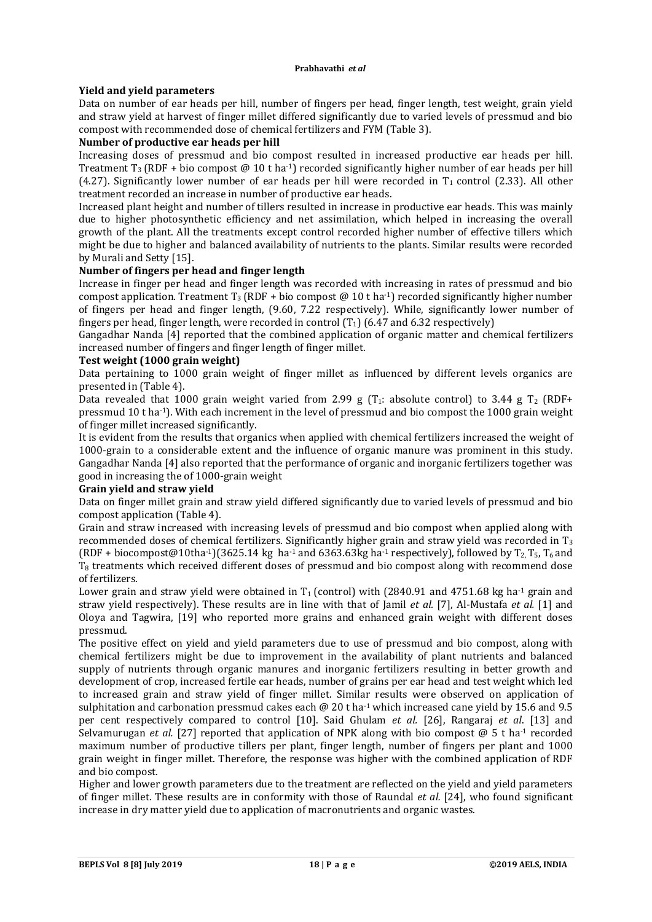# **Yield and yield parameters**

Data on number of ear heads per hill, number of fingers per head, finger length, test weight, grain yield and straw yield at harvest of finger millet differed significantly due to varied levels of pressmud and bio compost with recommended dose of chemical fertilizers and FYM (Table 3).

# **Number of productive ear heads per hill**

Increasing doses of pressmud and bio compost resulted in increased productive ear heads per hill. Treatment  $T_3$  (RDF + bio compost @ 10 t ha<sup>-1</sup>) recorded significantly higher number of ear heads per hill (4.27). Significantly lower number of ear heads per hill were recorded in  $T_1$  control (2.33). All other treatment recorded an increase in number of productive ear heads.

Increased plant height and number of tillers resulted in increase in productive ear heads. This was mainly due to higher photosynthetic efficiency and net assimilation, which helped in increasing the overall growth of the plant. All the treatments except control recorded higher number of effective tillers which might be due to higher and balanced availability of nutrients to the plants. Similar results were recorded by Murali and Setty [15].

# **Number of fingers per head and finger length**

Increase in finger per head and finger length was recorded with increasing in rates of pressmud and bio compost application. Treatment  $T_3$  (RDF + bio compost @ 10 t ha<sup>-1</sup>) recorded significantly higher number of fingers per head and finger length, (9.60, 7.22 respectively). While, significantly lower number of fingers per head, finger length, were recorded in control  $(T_1)$  (6.47 and 6.32 respectively)

Gangadhar Nanda [4] reported that the combined application of organic matter and chemical fertilizers increased number of fingers and finger length of finger millet.

### **Test weight (1000 grain weight)**

Data pertaining to 1000 grain weight of finger millet as influenced by different levels organics are presented in (Table 4).

Data revealed that 1000 grain weight varied from 2.99 g  $(T_1:$  absolute control) to 3.44 g  $T_2$  (RDF+ pressmud 10 t ha-1). With each increment in the level of pressmud and bio compost the 1000 grain weight of finger millet increased significantly.

It is evident from the results that organics when applied with chemical fertilizers increased the weight of 1000-grain to a considerable extent and the influence of organic manure was prominent in this study. Gangadhar Nanda [4] also reported that the performance of organic and inorganic fertilizers together was good in increasing the of 1000-grain weight

# **Grain yield and straw yield**

Data on finger millet grain and straw yield differed significantly due to varied levels of pressmud and bio compost application (Table 4).

Grain and straw increased with increasing levels of pressmud and bio compost when applied along with recommended doses of chemical fertilizers. Significantly higher grain and straw yield was recorded in  $T_3$ (RDF + biocompost@10tha-1)(3625.14 kg ha-1 and 6363.63kg ha-1 respectively), followed by  $T_2$ ,  $T_5$ ,  $T_6$  and T8 treatments which received different doses of pressmud and bio compost along with recommend dose of fertilizers.

Lower grain and straw yield were obtained in  $T_1$  (control) with (2840.91 and 4751.68 kg ha<sup>-1</sup> grain and straw yield respectively). These results are in line with that of Jamil *et al.* [7], Al-Mustafa *et al.* [1] and Oloya and Tagwira, [19] who reported more grains and enhanced grain weight with different doses pressmud.

The positive effect on yield and yield parameters due to use of pressmud and bio compost, along with chemical fertilizers might be due to improvement in the availability of plant nutrients and balanced supply of nutrients through organic manures and inorganic fertilizers resulting in better growth and development of crop, increased fertile ear heads, number of grains per ear head and test weight which led to increased grain and straw yield of finger millet. Similar results were observed on application of sulphitation and carbonation pressmud cakes each  $\omega$  20 t ha<sup>-1</sup> which increased cane yield by 15.6 and 9.5 per cent respectively compared to control [10]. Said Ghulam *et al.* [26], Rangaraj *et al*. [13] and Selvamurugan *et al.* [27] reported that application of NPK along with bio compost @ 5 t ha-1 recorded maximum number of productive tillers per plant, finger length, number of fingers per plant and 1000 grain weight in finger millet. Therefore, the response was higher with the combined application of RDF and bio compost.

Higher and lower growth parameters due to the treatment are reflected on the yield and yield parameters of finger millet. These results are in conformity with those of Raundal *et al.* [24], who found significant increase in dry matter yield due to application of macronutrients and organic wastes.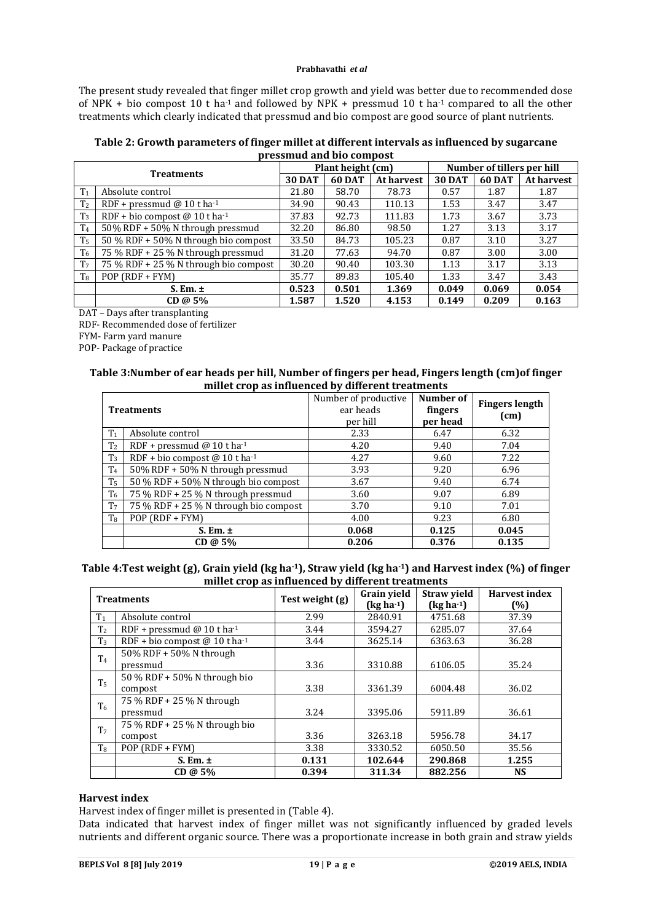The present study revealed that finger millet crop growth and yield was better due to recommended dose of NPK + bio compost 10 t ha<sup>-1</sup> and followed by NPK + pressmud 10 t ha<sup>-1</sup> compared to all the other treatments which clearly indicated that pressmud and bio compost are good source of plant nutrients.

| Table 2: Growth parameters of finger millet at different intervals as influenced by sugarcane |
|-----------------------------------------------------------------------------------------------|
| pressmud and bio compost                                                                      |

| <b>Treatments</b> |                                       | Plant height (cm) |        | Number of tillers per hill |               |               |            |
|-------------------|---------------------------------------|-------------------|--------|----------------------------|---------------|---------------|------------|
|                   |                                       | <b>30 DAT</b>     | 60 DAT | At harvest                 | <b>30 DAT</b> | <b>60 DAT</b> | At harvest |
| T <sub>1</sub>    | Absolute control                      | 21.80             | 58.70  | 78.73                      | 0.57          | 1.87          | 1.87       |
| T <sub>2</sub>    | RDF + pressmud @ 10 t ha-1            | 34.90             | 90.43  | 110.13                     | 1.53          | 3.47          | 3.47       |
| T <sub>3</sub>    | RDF + bio compost @ 10 t ha-1         | 37.83             | 92.73  | 111.83                     | 1.73          | 3.67          | 3.73       |
| T <sub>4</sub>    | 50% RDF + 50% N through pressmud      | 32.20             | 86.80  | 98.50                      | 1.27          | 3.13          | 3.17       |
| T <sub>5</sub>    | 50 % RDF + 50% N through bio compost  | 33.50             | 84.73  | 105.23                     | 0.87          | 3.10          | 3.27       |
| T <sub>6</sub>    | 75 % RDF + 25 % N through pressmud    | 31.20             | 77.63  | 94.70                      | 0.87          | 3.00          | 3.00       |
| T <sub>7</sub>    | 75 % RDF + 25 % N through bio compost | 30.20             | 90.40  | 103.30                     | 1.13          | 3.17          | 3.13       |
| T <sub>8</sub>    | $POP (RDF + FYM)$                     | 35.77             | 89.83  | 105.40                     | 1.33          | 3.47          | 3.43       |
|                   | $S. Em. \pm$                          | 0.523             | 0.501  | 1.369                      | 0.049         | 0.069         | 0.054      |
|                   | CD@5%                                 | 1.587             | 1.520  | 4.153                      | 0.149         | 0.209         | 0.163      |

DAT – Days after transplanting

RDF- Recommended dose of fertilizer

FYM- Farm yard manure

POP- Package of practice

#### **Table 3:Number of ear heads per hill, Number of fingers per head, Fingers length (cm)of finger millet crop as influenced by different treatments**

| <b>Treatments</b> |                                        | Number of productive<br>ear heads<br>per hill | Number of<br>fingers<br>per head | <b>Fingers length</b><br>(cm) |
|-------------------|----------------------------------------|-----------------------------------------------|----------------------------------|-------------------------------|
| T <sub>1</sub>    | Absolute control                       | 2.33                                          | 6.47                             | 6.32                          |
| T <sub>2</sub>    | RDF + pressmud @ 10 t ha <sup>-1</sup> | 4.20                                          | 9.40                             | 7.04                          |
| T <sub>3</sub>    | RDF + bio compost @ 10 t ha-1          | 4.27                                          | 9.60                             | 7.22                          |
| T <sub>4</sub>    | 50% RDF + 50% N through pressmud       | 3.93                                          | 9.20                             | 6.96                          |
| T <sub>5</sub>    | 50 % RDF + 50% N through bio compost   | 3.67                                          | 9.40                             | 6.74                          |
| T <sub>6</sub>    | 75 % RDF + 25 % N through pressmud     | 3.60                                          | 9.07                             | 6.89                          |
| T <sub>7</sub>    | 75 % RDF + 25 % N through bio compost  | 3.70                                          | 9.10                             | 7.01                          |
| $T_8$             | $POP (RDF + FYM)$                      | 4.00                                          | 9.23                             | 6.80                          |
|                   | $S.$ Em. $\pm$                         | 0.068                                         | 0.125                            | 0.045                         |
|                   | CD@5%                                  | 0.206                                         | 0.376                            | 0.135                         |

### **Table 4:Test weight (g), Grain yield (kg ha-1), Straw yield (kg ha-1) and Harvest index (%) of finger millet crop as influenced by different treatments**

| <b>Treatments</b> |                                           | Test weight (g) | <b>Grain vield</b> | <b>Straw yield</b> | <b>Harvest index</b> |
|-------------------|-------------------------------------------|-----------------|--------------------|--------------------|----------------------|
|                   |                                           |                 | $(kg ha-1)$        | $(kg ha-1)$        | (%)                  |
| T <sub>1</sub>    | Absolute control                          | 2.99            | 2840.91            | 4751.68            | 37.39                |
| T <sub>2</sub>    | RDF + pressmud @ 10 t ha-1                | 3.44            | 3594.27            | 6285.07            | 37.64                |
| $T_3$             | RDF + bio compost @ 10 t ha <sup>-1</sup> | 3.44            | 3625.14            | 6363.63            | 36.28                |
| T <sub>4</sub>    | 50% RDF + 50% N through                   |                 |                    |                    |                      |
|                   | pressmud                                  | 3.36            | 3310.88            | 6106.05            | 35.24                |
| T <sub>5</sub>    | 50 % RDF + 50% N through bio              |                 |                    |                    |                      |
|                   | compost                                   | 3.38            | 3361.39            | 6004.48            | 36.02                |
| T <sub>6</sub>    | 75 % RDF + 25 % N through                 |                 |                    |                    |                      |
|                   | pressmud                                  | 3.24            | 3395.06            | 5911.89            | 36.61                |
| T <sub>7</sub>    | 75 % RDF + 25 % N through bio             |                 |                    |                    |                      |
|                   | compost                                   | 3.36            | 3263.18            | 5956.78            | 34.17                |
| T <sub>8</sub>    | $POP (RDF + FYM)$                         | 3.38            | 3330.52            | 6050.50            | 35.56                |
|                   | $S.$ Em. $\pm$                            | 0.131           | 102.644            | 290.868            | 1.255                |
|                   | CD@5%                                     | 0.394           | 311.34             | 882.256            | <b>NS</b>            |

### **Harvest index**

Harvest index of finger millet is presented in (Table 4).

Data indicated that harvest index of finger millet was not significantly influenced by graded levels nutrients and different organic source. There was a proportionate increase in both grain and straw yields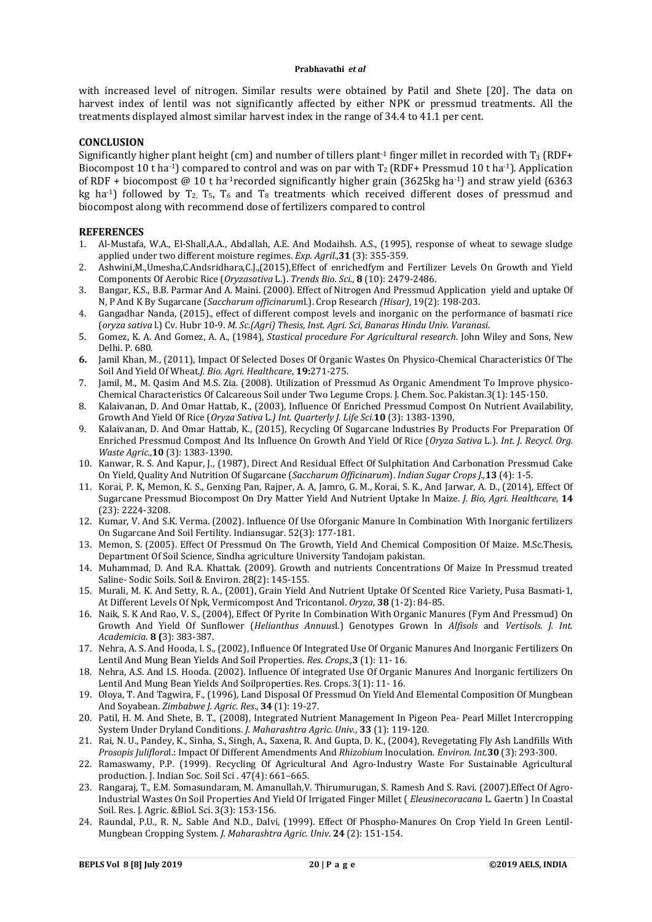with increased level of nitrogen. Similar results were obtained by Patil and Shete [20]. The data on harvest index of lentil was not significantly affected by either NPK or pressmud treatments. All the treatments displayed almost similar harvest index in the range of 34.4 to 41.1 per cent.

### **CONCLUSION**

Significantly higher plant height (cm) and number of tillers plant<sup>-1</sup> finger millet in recorded with  $T_3$  (RDF+ Biocompost 10 t ha<sup>-1</sup>) compared to control and was on par with  $T_2$  (RDF+ Pressmud 10 t ha<sup>-1</sup>). Application of RDF + biocompost @ 10 t ha-1recorded significantly higher grain (3625kg ha-1) and straw yield (6363 kg ha<sup>-1</sup>) followed by  $T_2$ ,  $T_5$ ,  $T_6$  and  $T_8$  treatments which received different doses of pressmud and biocompost along with recommend dose of fertilizers compared to control

### **REFERENCES**

- 1. Al-Mustafa, W.A., El-Shall,A.A., Abdallah, A.E. And Modaihsh. A.S., (1995), response of wheat to sewage sludge applied under two different moisture regimes. *Exp. Agril.,***31** (3): 355-359.
- 2. Ashwini,M.,Umesha,C.Andsridhara,C.J.,(2015),Effect of enrichedfym and Fertilizer Levels On Growth and Yield Components Of Aerobic Rice (*Oryzasativa* L.). *Trends Bio. Sci.*, **8** (10): 2479-2486.
- 3. Bangar, K.S., B.B. Parmar And A. Maini. (2000). Effect of Nitrogen And Pressmud Application yield and uptake Of N, P And K By Sugarcane (*Saccharum officinarum*l.). Crop Research *(Hisar)*, 19(2): 198-203.
- 4. Gangadhar Nanda, (2015)., effect of different compost levels and inorganic on the performance of basmati rice (*oryza sativa* l.) Cv. Hubr 10-9. *M. Sc.(Agri) Thesis*, *Inst. Agri. Sci, Banaras Hindu Univ. Varanasi*.
- 5. Gomez, K. A. And Gomez, A. A., (1984), *Stastical procedure For Agricultural research*. John Wiley and Sons, New Delhi. P. 680.
- **6.** Jamil Khan, M., (2011), Impact Of Selected Doses Of Organic Wastes On Physico-Chemical Characteristics Of The Soil And Yield Of Wheat.*J. Bio. Agri. Healthcare*, **19:**271-275.
- 7. Jamil, M., M. Qasim And M.S. Zia. (2008). Utilization of Pressmud As Organic Amendment To Improve physico-Chemical Characteristics Of Calcareous Soil under Two Legume Crops. J. Chem. Soc. Pakistan.3(1): 145-150.
- 8. Kalaivanan, D. And Omar Hattab, K., (2003), Influence Of Enriched Pressmud Compost On Nutrient Availability, Growth And Yield Of Rice (*Oryza Sativa* L*.) Int*. *Quarterly J. Life Sci.***10** (3): 1383-1390,
- 9. Kalaivanan, D. And Omar Hattab, K., (2015), Recycling Of Sugarcane Industries By Products For Preparation Of Enriched Pressmud Compost And Its Influence On Growth And Yield Of Rice (*Oryza Sativa* L.). *Int. J. Recycl. Org. Waste Agric.,***10** (3): 1383-1390.
- 10. Kanwar, R. S. And Kapur, J., (1987), Direct And Residual Effect Of Sulphitation And Carbonation Pressmud Cake On Yield, Quality And Nutrition Of Sugarcane (*Saccharum Officinarum*). *Indian Sugar Crops J.,***13** (4): 1-5.
- 11. Korai, P. K, Memon, K. S., Genxing Pan, Rajper, A. A, Jamro, G. M., Korai, S. K., And Jarwar, A. D., (2014), Effect Of Sugarcane Pressmud Biocompost On Dry Matter Yield And Nutrient Uptake In Maize. *J. Bio, Agri. Healthcare*, **14**  (23): 2224-3208.
- 12. Kumar, V. And S.K. Verma. (2002). Influence Of Use Oforganic Manure In Combination With Inorganic fertilizers On Sugarcane And Soil Fertility. Indiansugar. 52(3): 177-181.
- 13. Memon, S. (2005). Effect Of Pressmud On The Growth, Yield And Chemical Composition Of Maize. M.Sc.Thesis, Department Of Soil Science, Sindha agriculture University Tandojam pakistan.
- 14. Muhammad, D. And R.A. Khattak. (2009). Growth and nutrients Concentrations Of Maize In Pressmud treated Saline- Sodic Soils. Soil & Environ. 28(2): 145-155.
- 15. Murali, M. K. And Setty, R. A., (2001), Grain Yield And Nutrient Uptake Of Scented Rice Variety, Pusa Basmati-1, At Different Levels Of Npk, Vermicompost And Tricontanol. *Oryza*, **38** (1-2): 84-85.
- 16. Naik, S. K And Rao, V. S., (2004), Effect Of Pyrite In Combination With Organic Manures (Fym And Pressmud) On Growth And Yield Of Sunflower (*Helianthus Annuus*l.) Genotypes Grown In *Alfisols* and *Vertisols. J. Int. Academicia*. **8 (**3): 383-387.
- 17. Nehra, A. S. And Hooda, I. S., (2002), Influence Of Integrated Use Of Organic Manures And Inorganic Fertilizers On Lentil And Mung Bean Yields And Soil Properties. *Res. Crops.,***3** (1): 11- 16.
- 18. Nehra, A.S. And I.S. Hooda. (2002). Influence Of integrated Use Of Organic Manures And Inorganic fertilizers On Lentil And Mung Bean Yields And Soilproperties. Res. Crops. 3(1): 11- 16.
- 19. Oloya, T. And Tagwira, F., (1996), Land Disposal Of Pressmud On Yield And Elemental Composition Of Mungbean And Soyabean. *Zimbabwe J. Agric. Res*., **34** (1): 19-27.
- 20. Patil, H. M. And Shete, B. T., (2008), Integrated Nutrient Management In Pigeon Pea- Pearl Millet Intercropping System Under Dryland Conditions. *J. Maharashtra Agric. Univ.*, **33** (1): 119-120.
- 21. Rai, N. U., Pandey, K., Sinha, S., Singh, A., Saxena, R. And Gupta, D. K., (2004), Revegetating Fly Ash Landfills With *Prosopis Juliflora*l.: Impact Of Different Amendments And *Rhizobium* Inoculation*. Environ. Int.***30** (3): 293-300.
- 22. Ramaswamy, P.P. (1999). Recycling Of Agricultural And Agro-Industry Waste For Sustainable Agricultural production. J. Indian Soc. Soil Sci . 47(4): 661–665.
- 23. Rangaraj, T., E.M. Somasundaram, M. Amanullah,V. Thirumurugan, S. Ramesh And S. Ravi. (2007).Effect Of Agro-Industrial Wastes On Soil Properties And Yield Of Irrigated Finger Millet ( *Eleusinecoracana* L. Gaertn ) In Coastal Soil. Res. J. Agric. &Biol. Sci. 3(3): 153-156.
- 24. Raundal, P.U., R. N,. Sable And N.D., Dalvi, (1999). Effect Of Phospho-Manures On Crop Yield In Green Lentil-Mungbean Cropping System. *J. Maharashtra Agric. Univ*. **24** (2): 151-154.